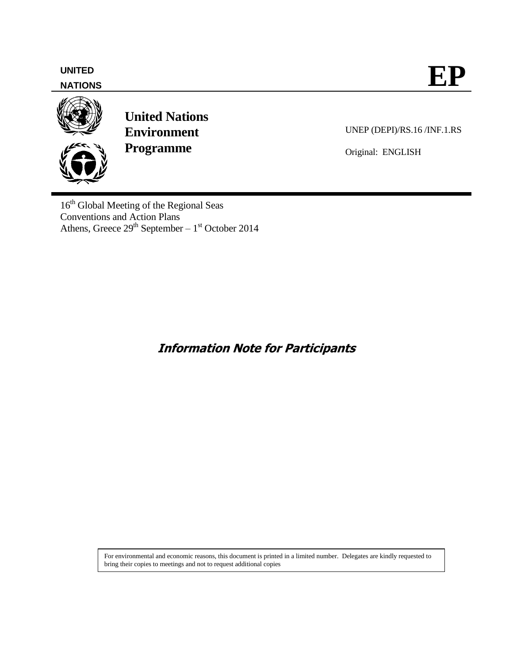# **NATIONS**



**United Nations Environment Programme**

UNEP (DEPI)/RS.16 /INF.1.RS

Original: ENGLISH

16<sup>th</sup> Global Meeting of the Regional Seas Conventions and Action Plans Athens, Greece  $29<sup>th</sup>$  September –  $1<sup>st</sup>$  October 2014

**Information Note for Participants**

For environmental and economic reasons, this document is printed in a limited number. Delegates are kindly requested to bring their copies to meetings and not to request additional copies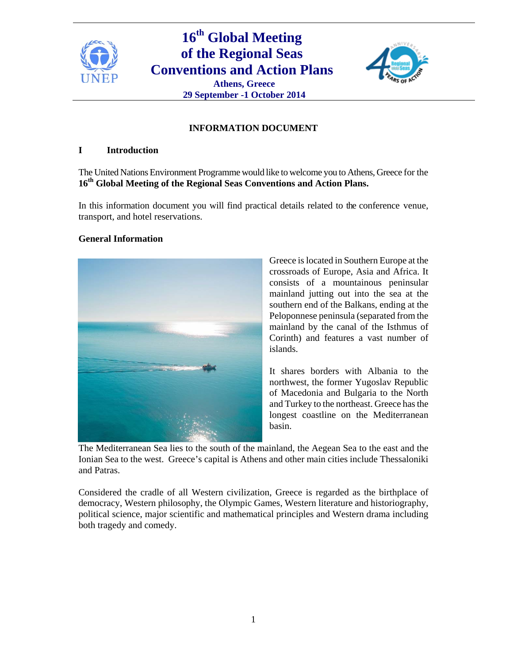

# **16th Global Meeting of the Regional Seas Conventions and Action Plans Athens, Greece 29 September -1 October 2014**



# **INFORMATION DOCUMENT**

## **I Introduction**

The United Nations Environment Programme would like to welcome you to Athens, Greece for the **16th Global Meeting of the Regional Seas Conventions and Action Plans.** 

In this information document you will find practical details related to the conference venue, transport, and hotel reservations.

#### **General Information**



Greece is located in Southern Europe at the crossroads of Europe, Asia and Africa. It consists of a mountainous peninsular mainland jutting out into the sea at the southern end of the Balkans, ending at the Peloponnese peninsula (separated from the mainland by the canal of the Isthmus of Corinth) and features a vast number of islands.

It shares borders with Albania to the northwest, the former Yugoslav Republic of Macedonia and Bulgaria to the North and Turkey to the northeast. Greece has the longest coastline on the Mediterranean basin.

The Mediterranean Sea lies to the south of the mainland, the Aegean Sea to the east and the Ionian Sea to the west. Greece's capital is Athens and other main cities include Thessaloniki and Patras.

Considered the cradle of all Western civilization, Greece is regarded as the birthplace of democracy, Western philosophy, the Olympic Games, Western literature and historiography, political science, major scientific and mathematical principles and Western drama including both tragedy and comedy.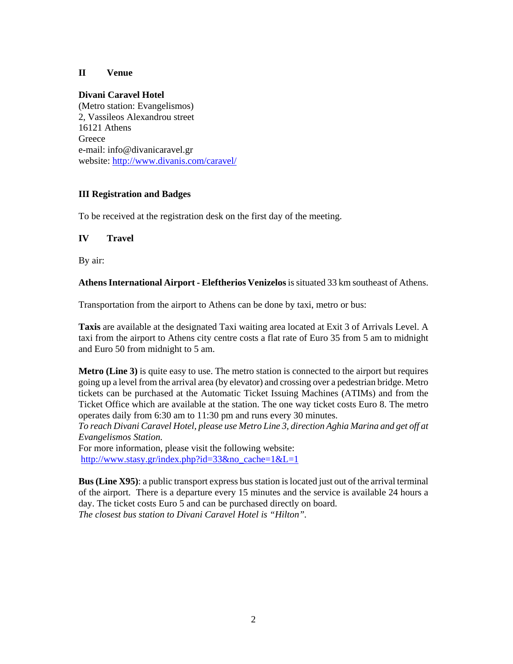## **II Venue**

### **Divani Caravel Hotel**

(Metro station: Evangelismos) 2, Vassileos Alexandrou street 16121 Athens **Greece** e-mail: info@divanicaravel.gr website: http://www.divanis.com/caravel/

### **III Registration and Badges**

To be received at the registration desk on the first day of the meeting.

### **IV Travel**

By air:

### **Athens International Airport - Eleftherios Venizelos** is situated 33 km southeast of Athens.

Transportation from the airport to Athens can be done by taxi, metro or bus:

**Taxis** are available at the designated Taxi waiting area located at Exit 3 of Arrivals Level. A taxi from the airport to Athens city centre costs a flat rate of Euro 35 from 5 am to midnight and Euro 50 from midnight to 5 am.

**Metro (Line 3)** is quite easy to use. The metro station is connected to the airport but requires going up a level from the arrival area (by elevator) and crossing over a pedestrian bridge. Metro tickets can be purchased at the Automatic Ticket Issuing Machines (ATIMs) and from the Ticket Office which are available at the station. The one way ticket costs Euro 8. The metro operates daily from 6:30 am to 11:30 pm and runs every 30 minutes.

*To reach Divani Caravel Hotel, please use Metro Line 3, direction Aghia Marina and get off at Evangelismos Station.* 

For more information, please visit the following website: http://www.stasy.gr/index.php?id=33&no\_cache=1&L=1

**Bus (Line X95)**: a public transport express bus station is located just out of the arrival terminal of the airport. There is a departure every 15 minutes and the service is available 24 hours a day. The ticket costs Euro 5 and can be purchased directly on board. *The closest bus station to Divani Caravel Hotel is "Hilton".*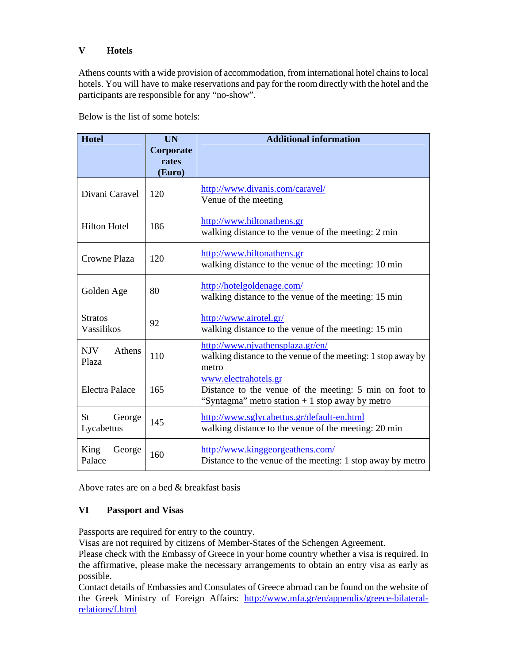# **V Hotels**

Athens counts with a wide provision of accommodation, from international hotel chains to local hotels. You will have to make reservations and pay for the room directly with the hotel and the participants are responsible for any "no-show".

Below is the list of some hotels:

| <b>Hotel</b>                      | <b>UN</b><br>Corporate<br>rates<br>(Euro) | <b>Additional information</b>                                                                                                      |
|-----------------------------------|-------------------------------------------|------------------------------------------------------------------------------------------------------------------------------------|
| Divani Caravel                    | 120                                       | http://www.divanis.com/caravel/<br>Venue of the meeting                                                                            |
| <b>Hilton Hotel</b>               | 186                                       | http://www.hiltonathens.gr<br>walking distance to the venue of the meeting: 2 min                                                  |
| <b>Crowne Plaza</b>               | 120                                       | http://www.hiltonathens.gr<br>walking distance to the venue of the meeting: 10 min                                                 |
| Golden Age                        | 80                                        | http://hotelgoldenage.com/<br>walking distance to the venue of the meeting: 15 min                                                 |
| <b>Stratos</b><br>Vassilikos      | 92                                        | http://www.airotel.gr/<br>walking distance to the venue of the meeting: 15 min                                                     |
| <b>NJV</b><br>Athens<br>Plaza     | 110                                       | http://www.njvathensplaza.gr/en/<br>walking distance to the venue of the meeting: 1 stop away by<br>metro                          |
| <b>Electra Palace</b>             | 165                                       | www.electrahotels.gr<br>Distance to the venue of the meeting: 5 min on foot to<br>"Syntagma" metro station $+1$ stop away by metro |
| <b>St</b><br>George<br>Lycabettus | 145                                       | http://www.sglycabettus.gr/default-en.html<br>walking distance to the venue of the meeting: 20 min                                 |
| King<br>George<br>Palace          | 160                                       | http://www.kinggeorgeathens.com/<br>Distance to the venue of the meeting: 1 stop away by metro                                     |

Above rates are on a bed & breakfast basis

## **VI Passport and Visas**

Passports are required for entry to the country.

Visas are not required by citizens of Member-States of the Schengen Agreement.

Please check with the Embassy of Greece in your home country whether a visa is required. In the affirmative, please make the necessary arrangements to obtain an entry visa as early as possible.

Contact details of Embassies and Consulates of Greece abroad can be found on the website of the Greek Ministry of Foreign Affairs: http://www.mfa.gr/en/appendix/greece-bilateralrelations/f.html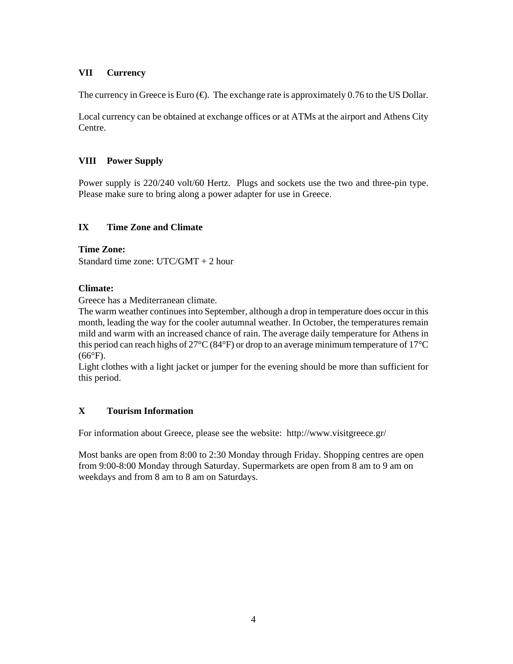# **VII Currency**

The currency in Greece is Euro  $(\bigoplus)$ . The exchange rate is approximately 0.76 to the US Dollar.

Local currency can be obtained at exchange offices or at ATMs at the airport and Athens City Centre.

# **VIII Power Supply**

Power supply is 220/240 volt/60 Hertz. Plugs and sockets use the two and three-pin type. Please make sure to bring along a power adapter for use in Greece.

# **IX Time Zone and Climate**

## **Time Zone:**

Standard time zone: UTC/GMT + 2 hour

## **Climate:**

Greece has a Mediterranean climate.

The warm weather continues into September, although a drop in temperature does occur in this month, leading the way for the cooler autumnal weather. In October, the temperatures remain mild and warm with an increased chance of rain. The average daily temperature for Athens in this period can reach highs of 27°C (84°F) or drop to an average minimum temperature of 17°C  $(66^{\circ}F).$ 

Light clothes with a light jacket or jumper for the evening should be more than sufficient for this period.

# **X Tourism Information**

For information about Greece, please see the website: http://www.visitgreece.gr/

Most banks are open from 8:00 to 2:30 Monday through Friday. Shopping centres are open from 9:00-8:00 Monday through Saturday. Supermarkets are open from 8 am to 9 am on weekdays and from 8 am to 8 am on Saturdays.